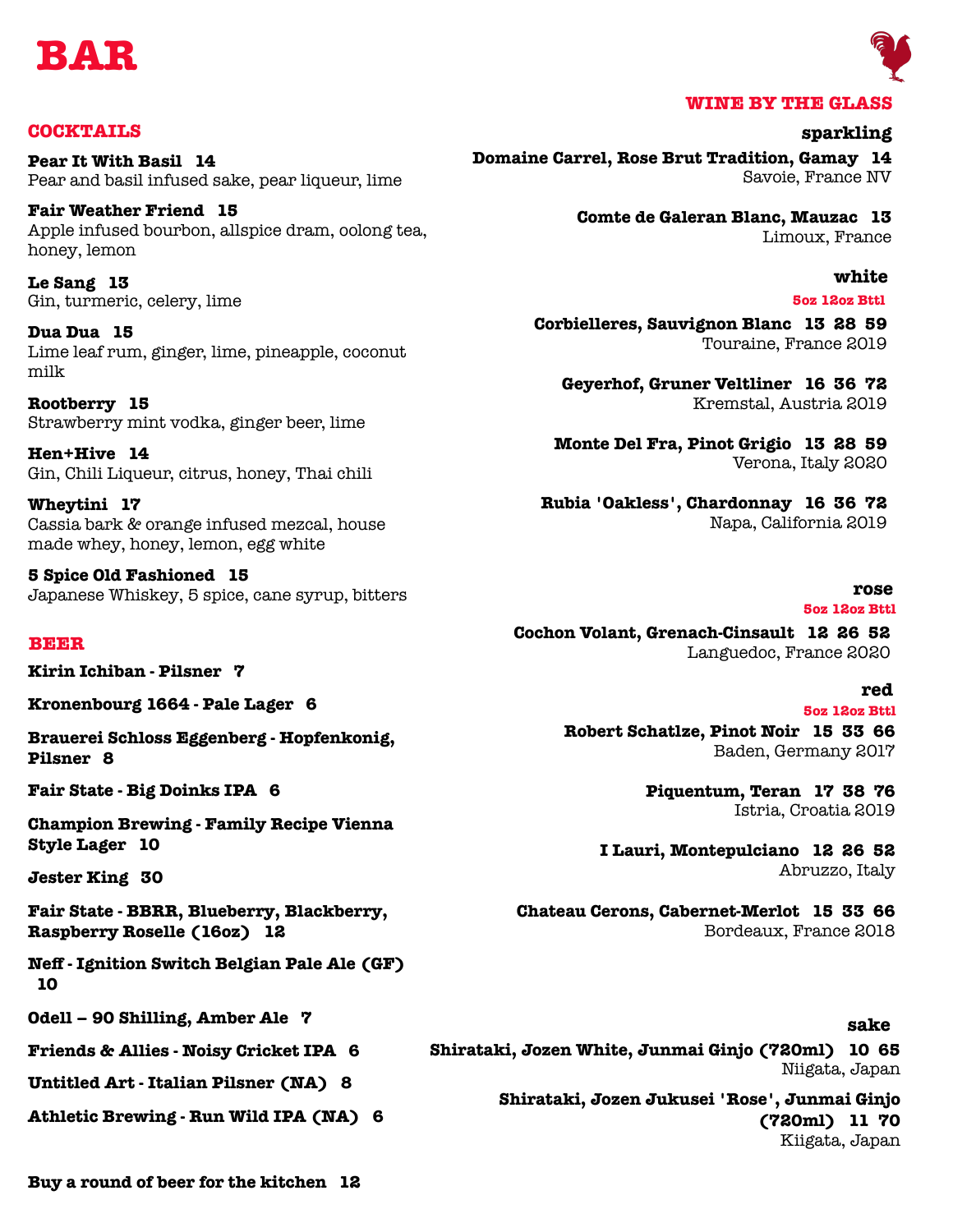



## **COCKTAILS**

**Pear It With Basil 14** Pear and basil infused sake, pear liqueur, lime

**Fair Weather Friend 15** Apple infused bourbon, allspice dram, oolong tea, honey, lemon

**Le Sang 13** Gin, turmeric, celery, lime

**Dua Dua 15** Lime leaf rum, ginger, lime, pineapple, coconut milk

**Rootberry 15** Strawberry mint vodka, ginger beer, lime

**Hen+Hive 14** Gin, Chili Liqueur, citrus, honey, Thai chili

**Wheytini 17** Cassia bark & orange infused mezcal, house made whey, honey, lemon, egg white

**5 Spice Old Fashioned 15** Japanese Whiskey, 5 spice, cane syrup, bitters

#### **BEER**

**Kirin Ichiban - Pilsner 7**

**Kronenbourg 1664 - Pale Lager 6**

**Brauerei Schloss Eggenberg - Hopfenkonig, Pilsner 8**

**Fair State - Big Doinks IPA 6**

**Champion Brewing - Family Recipe Vienna Style Lager 10**

**Jester King 30**

**Fair State - BBRR, Blueberry, Blackberry, Raspberry Roselle (16oz) 12**

**Neff - Ignition Switch Belgian Pale Ale (GF) 10**

**Odell – 90 Shilling, Amber Ale 7**

**Friends & Allies - Noisy Cricket IPA 6**

**Untitled Art - Italian Pilsner (NA) 8**

**Athletic Brewing - Run Wild IPA (NA) 6**

**Domaine Carrel, Rose Brut Tradition, Gamay 14** Savoie, France NV **sparkling**

> **Comte de Galeran Blanc, Mauzac 13** Limoux, France

## **white**

**5oz 12oz Bttl**

**Corbielleres, Sauvignon Blanc 13 28 59** Touraine, France 2019

**Geyerhof, Gruner Veltliner 16 36 72** Kremstal, Austria 2019

**Monte Del Fra, Pinot Grigio 13 28 59** Verona, Italy 2020

**Rubia 'Oakless', Chardonnay 16 36 72** Napa, California 2019

#### **rose**

## **5oz 12oz Bttl**

**Cochon Volant, Grenach-Cinsault 12 26 52** Languedoc, France 2020

## **red**

**5oz 12oz Bttl**

**Robert Schatlze, Pinot Noir 15 33 66** Baden, Germany 2017

> **Piquentum, Teran 17 38 76** Istria, Croatia 2019

**I Lauri, Montepulciano 12 26 52** Abruzzo, Italy

**Chateau Cerons, Cabernet-Merlot 15 33 66** Bordeaux, France 2018

## **sake**

**Shirataki, Jozen White, Junmai Ginjo (720ml) 10 65** Niigata, Japan

> **Shirataki, Jozen Jukusei 'Rose', Junmai Ginjo (720ml) 11 70** Kiigata, Japan